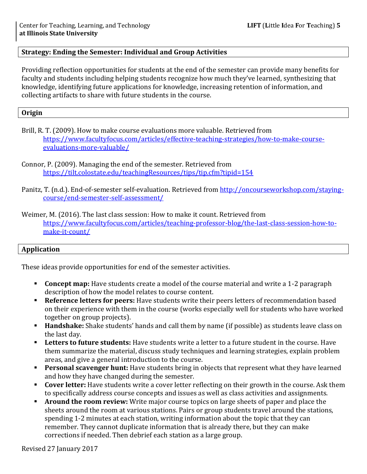# **Strategy: Ending the Semester: Individual and Group Activities**

Providing reflection opportunities for students at the end of the semester can provide many benefits for faculty and students including helping students recognize how much they've learned, synthesizing that knowledge, identifying future applications for knowledge, increasing retention of information, and collecting artifacts to share with future students in the course.

#### **Origin**

Brill, R. T. (2009). How to make course evaluations more valuable. Retrieved from [https://www.facultyfocus.com/articles/effective-teaching-strategies/how-to-make-course](https://www.facultyfocus.com/articles/effective-teaching-strategies/how-to-make-course-evaluations-more-valuable/)[evaluations-more-valuable/](https://www.facultyfocus.com/articles/effective-teaching-strategies/how-to-make-course-evaluations-more-valuable/)

Panitz, T. (n.d.). End-of-semester self-evaluation. Retrieved from [http://oncourseworkshop.com/staying](http://oncourseworkshop.com/staying-course/end-semester-self-assessment/)[course/end-semester-self-assessment/](http://oncourseworkshop.com/staying-course/end-semester-self-assessment/)

Weimer, M. (2016). The last class session: How to make it count. Retrieved from [https://www.facultyfocus.com/articles/teaching-professor-blog/the-last-class-session-how-to](https://www.facultyfocus.com/articles/teaching-professor-blog/the-last-class-session-how-to-make-it-count/)[make-it-count/](https://www.facultyfocus.com/articles/teaching-professor-blog/the-last-class-session-how-to-make-it-count/)

## **Application**

These ideas provide opportunities for end of the semester activities.

- **Concept map:** Have students create a model of the course material and write a 1-2 paragraph description of how the model relates to course content.
- **Reference letters for peers:** Have students write their peers letters of recommendation based on their experience with them in the course (works especially well for students who have worked together on group projects).
- **Handshake:** Shake students' hands and call them by name (if possible) as students leave class on the last day.
- **Letters to future students:** Have students write a letter to a future student in the course. Have them summarize the material, discuss study techniques and learning strategies, explain problem areas, and give a general introduction to the course.
- **Personal scavenger hunt:** Have students bring in objects that represent what they have learned and how they have changed during the semester.
- **Cover letter:** Have students write a cover letter reflecting on their growth in the course. Ask them to specifically address course concepts and issues as well as class activities and assignments.
- **Around the room review:** Write major course topics on large sheets of paper and place the sheets around the room at various stations. Pairs or group students travel around the stations, spending 1-2 minutes at each station, writing information about the topic that they can remember. They cannot duplicate information that is already there, but they can make corrections if needed. Then debrief each station as a large group.

Connor, P. (2009). Managing the end of the semester. Retrieved from <https://tilt.colostate.edu/teachingResources/tips/tip.cfm?tipid=154>